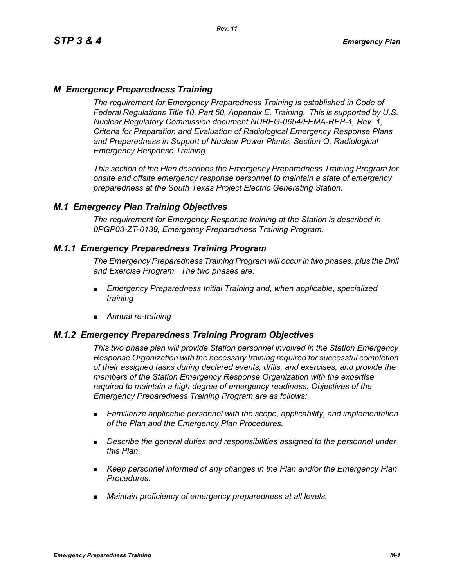# *M Emergency Preparedness Training*

*The requirement for Emergency Preparedness Training is established in Code of Federal Regulations Title 10, Part 50, Appendix E, Training. This is supported by U.S. Nuclear Regulatory Commission document NUREG-0654/FEMA-REP-1, Rev. 1, Criteria for Preparation and Evaluation of Radiological Emergency Response Plans and Preparedness in Support of Nuclear Power Plants, Section O, Radiological Emergency Response Training.*

*This section of the Plan describes the Emergency Preparedness Training Program for onsite and offsite emergency response personnel to maintain a state of emergency preparedness at the South Texas Project Electric Generating Station.*

## *M.1 Emergency Plan Training Objectives*

*The requirement for Emergency Response training at the Station is described in 0PGP03-ZT-0139, Emergency Preparedness Training Program.*

## *M.1.1 Emergency Preparedness Training Program*

*The Emergency Preparedness Training Program will occur in two phases, plus the Drill and Exercise Program. The two phases are:*

- *Emergency Preparedness Initial Training and, when applicable, specialized training*
- *Annual re-training*

## *M.1.2 Emergency Preparedness Training Program Objectives*

*This two phase plan will provide Station personnel involved in the Station Emergency Response Organization with the necessary training required for successful completion of their assigned tasks during declared events, drills, and exercises, and provide the members of the Station Emergency Response Organization with the expertise required to maintain a high degree of emergency readiness. Objectives of the Emergency Preparedness Training Program are as follows:*

- *Familiarize applicable personnel with the scope, applicability, and implementation of the Plan and the Emergency Plan Procedures.*
- *Describe the general duties and responsibilities assigned to the personnel under this Plan.*
- *Keep personnel informed of any changes in the Plan and/or the Emergency Plan Procedures.*
- *Maintain proficiency of emergency preparedness at all levels.*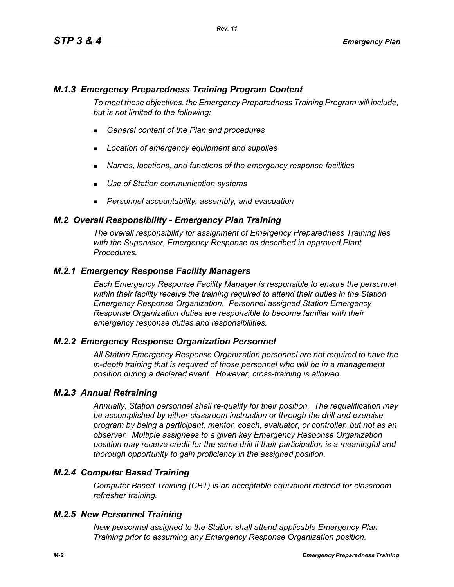## *M.1.3 Emergency Preparedness Training Program Content*

*To meet these objectives, the Emergency Preparedness Training Program will include, but is not limited to the following:*

- *General content of the Plan and procedures*
- *Location of emergency equipment and supplies*
- *Names, locations, and functions of the emergency response facilities*

*Rev. 11*

- *Use of Station communication systems*
- *Personnel accountability, assembly, and evacuation*

## *M.2 Overall Responsibility - Emergency Plan Training*

*The overall responsibility for assignment of Emergency Preparedness Training lies with the Supervisor, Emergency Response as described in approved Plant Procedures.*

## *M.2.1 Emergency Response Facility Managers*

*Each Emergency Response Facility Manager is responsible to ensure the personnel within their facility receive the training required to attend their duties in the Station Emergency Response Organization. Personnel assigned Station Emergency Response Organization duties are responsible to become familiar with their emergency response duties and responsibilities.*

#### *M.2.2 Emergency Response Organization Personnel*

*All Station Emergency Response Organization personnel are not required to have the in-depth training that is required of those personnel who will be in a management position during a declared event. However, cross-training is allowed.*

#### *M.2.3 Annual Retraining*

*Annually, Station personnel shall re-qualify for their position. The requalification may be accomplished by either classroom instruction or through the drill and exercise program by being a participant, mentor, coach, evaluator, or controller, but not as an observer. Multiple assignees to a given key Emergency Response Organization position may receive credit for the same drill if their participation is a meaningful and thorough opportunity to gain proficiency in the assigned position.*

## *M.2.4 Computer Based Training*

*Computer Based Training (CBT) is an acceptable equivalent method for classroom refresher training.*

#### *M.2.5 New Personnel Training*

*New personnel assigned to the Station shall attend applicable Emergency Plan Training prior to assuming any Emergency Response Organization position.*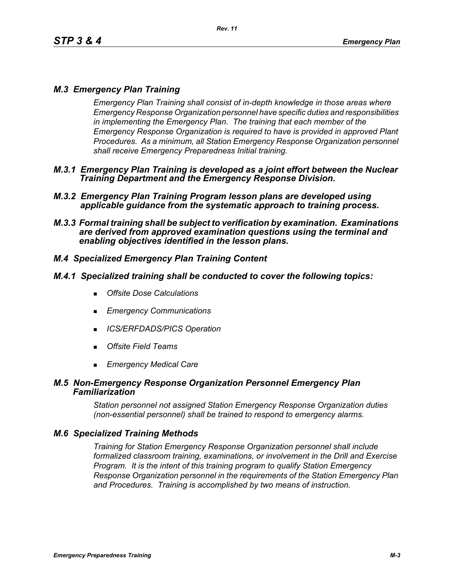# *M.3 Emergency Plan Training*

*Emergency Plan Training shall consist of in-depth knowledge in those areas where Emergency Response Organization personnel have specific duties and responsibilities in implementing the Emergency Plan. The training that each member of the Emergency Response Organization is required to have is provided in approved Plant Procedures. As a minimum, all Station Emergency Response Organization personnel shall receive Emergency Preparedness Initial training.*

- *M.3.1 Emergency Plan Training is developed as a joint effort between the Nuclear Training Department and the Emergency Response Division.*
- *M.3.2 Emergency Plan Training Program lesson plans are developed using applicable guidance from the systematic approach to training process.*
- *M.3.3 Formal training shall be subject to verification by examination. Examinations are derived from approved examination questions using the terminal and enabling objectives identified in the lesson plans.*

# *M.4 Specialized Emergency Plan Training Content*

#### *M.4.1 Specialized training shall be conducted to cover the following topics:*

- *Offsite Dose Calculations*
- *Emergency Communications*
- *ICS/ERFDADS/PICS Operation*
- *Offsite Field Teams*
- *Emergency Medical Care*

#### *M.5 Non-Emergency Response Organization Personnel Emergency Plan Familiarization*

*Station personnel not assigned Station Emergency Response Organization duties (non-essential personnel) shall be trained to respond to emergency alarms.*

## *M.6 Specialized Training Methods*

*Training for Station Emergency Response Organization personnel shall include formalized classroom training, examinations, or involvement in the Drill and Exercise Program. It is the intent of this training program to qualify Station Emergency Response Organization personnel in the requirements of the Station Emergency Plan and Procedures. Training is accomplished by two means of instruction.*